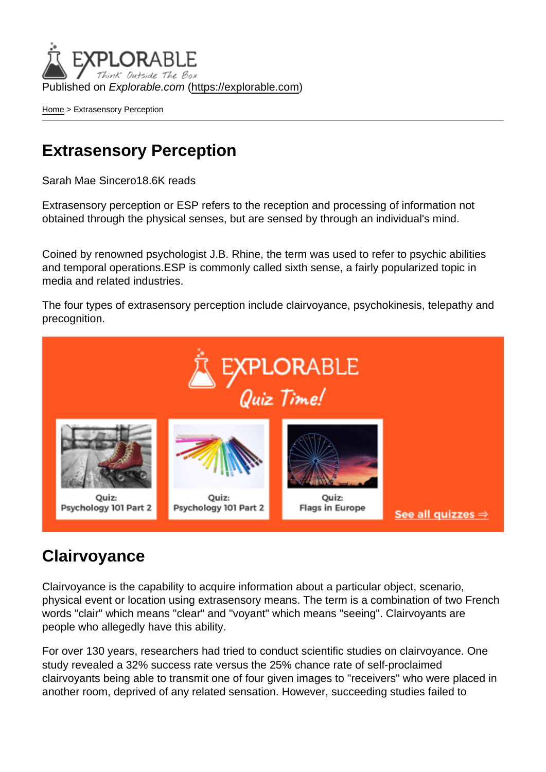Published on Explorable.com (<https://explorable.com>)

[Home](https://explorable.com/) > Extrasensory Perception

#### Extrasensory Perception

Sarah Mae Sincero18.6K reads

Extrasensory perception or ESP refers to the reception and processing of information not obtained through the physical senses, but are sensed by through an individual's mind.

Coined by renowned psychologist J.B. Rhine, the term was used to refer to psychic abilities and temporal operations.ESP is commonly called sixth sense, a fairly popularized topic in media and related industries.

The four types of extrasensory perception include clairvoyance, psychokinesis, telepathy and precognition.

#### **Clairvovance**

Clairvoyance is the capability to acquire information about a particular object, scenario, physical event or location using extrasensory means. The term is a combination of two French words "clair" which means "clear" and "voyant" which means "seeing". Clairvoyants are people who allegedly have this ability.

For over 130 years, researchers had tried to conduct scientific studies on clairvoyance. One study revealed a 32% success rate versus the 25% chance rate of self-proclaimed clairvoyants being able to transmit one of four given images to "receivers" who were placed in another room, deprived of any related sensation. However, succeeding studies failed to